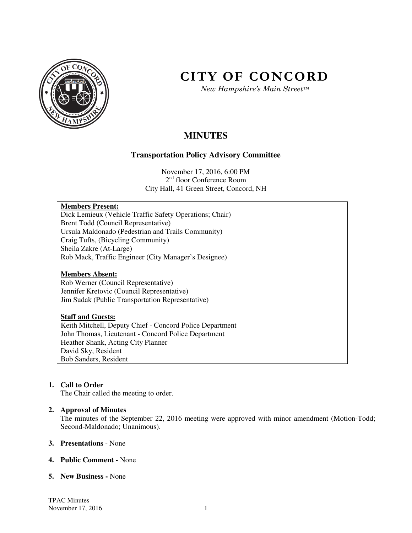

# **CITY OF CONCORD**

*New Hampshire's Main Street™*

# **MINUTES**

# **Transportation Policy Advisory Committee**

November 17, 2016, 6:00 PM 2<sup>nd</sup> floor Conference Room City Hall, 41 Green Street, Concord, NH

# **Members Present:**

Dick Lemieux (Vehicle Traffic Safety Operations; Chair) Brent Todd (Council Representative) Ursula Maldonado (Pedestrian and Trails Community) Craig Tufts, (Bicycling Community) Sheila Zakre (At-Large) Rob Mack, Traffic Engineer (City Manager's Designee)

# **Members Absent:**

Rob Werner (Council Representative) Jennifer Kretovic (Council Representative) Jim Sudak (Public Transportation Representative)

# **Staff and Guests:**

Keith Mitchell, Deputy Chief - Concord Police Department John Thomas, Lieutenant - Concord Police Department Heather Shank, Acting City Planner David Sky, Resident Bob Sanders, Resident

# **1. Call to Order**

The Chair called the meeting to order.

# **2. Approval of Minutes**

The minutes of the September 22, 2016 meeting were approved with minor amendment (Motion-Todd; Second-Maldonado; Unanimous).

#### **3. Presentations** - None

#### **4. Public Comment -** None

#### **5. New Business -** None

TPAC Minutes November 17, 2016 1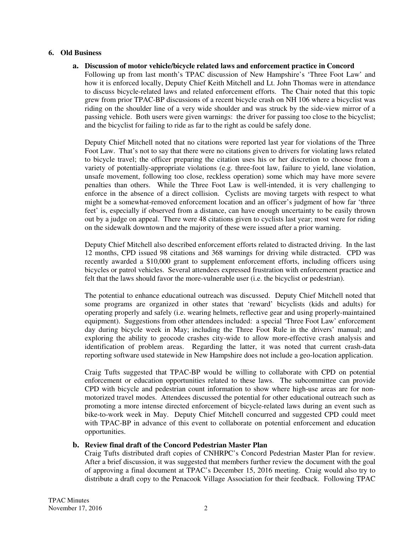#### **6. Old Business**

**a. Discussion of motor vehicle/bicycle related laws and enforcement practice in Concord**  Following up from last month's TPAC discussion of New Hampshire's 'Three Foot Law' and how it is enforced locally, Deputy Chief Keith Mitchell and Lt. John Thomas were in attendance to discuss bicycle-related laws and related enforcement efforts. The Chair noted that this topic grew from prior TPAC-BP discussions of a recent bicycle crash on NH 106 where a bicyclist was riding on the shoulder line of a very wide shoulder and was struck by the side-view mirror of a passing vehicle. Both users were given warnings: the driver for passing too close to the bicyclist; and the bicyclist for failing to ride as far to the right as could be safely done.

Deputy Chief Mitchell noted that no citations were reported last year for violations of the Three Foot Law. That's not to say that there were no citations given to drivers for violating laws related to bicycle travel; the officer preparing the citation uses his or her discretion to choose from a variety of potentially-appropriate violations (e.g. three-foot law, failure to yield, lane violation, unsafe movement, following too close, reckless operation) some which may have more severe penalties than others. While the Three Foot Law is well-intended, it is very challenging to enforce in the absence of a direct collision. Cyclists are moving targets with respect to what might be a somewhat-removed enforcement location and an officer's judgment of how far 'three feet' is, especially if observed from a distance, can have enough uncertainty to be easily thrown out by a judge on appeal. There were 48 citations given to cyclists last year; most were for riding on the sidewalk downtown and the majority of these were issued after a prior warning.

Deputy Chief Mitchell also described enforcement efforts related to distracted driving. In the last 12 months, CPD issued 98 citations and 368 warnings for driving while distracted. CPD was recently awarded a \$10,000 grant to supplement enforcement efforts, including officers using bicycles or patrol vehicles. Several attendees expressed frustration with enforcement practice and felt that the laws should favor the more-vulnerable user (i.e. the bicyclist or pedestrian).

The potential to enhance educational outreach was discussed. Deputy Chief Mitchell noted that some programs are organized in other states that 'reward' bicyclists (kids and adults) for operating properly and safely (i.e. wearing helmets, reflective gear and using properly-maintained equipment). Suggestions from other attendees included: a special 'Three Foot Law' enforcement day during bicycle week in May; including the Three Foot Rule in the drivers' manual; and exploring the ability to geocode crashes city-wide to allow more-effective crash analysis and identification of problem areas. Regarding the latter, it was noted that current crash-data reporting software used statewide in New Hampshire does not include a geo-location application.

Craig Tufts suggested that TPAC-BP would be willing to collaborate with CPD on potential enforcement or education opportunities related to these laws. The subcommittee can provide CPD with bicycle and pedestrian count information to show where high-use areas are for nonmotorized travel modes. Attendees discussed the potential for other educational outreach such as promoting a more intense directed enforcement of bicycle-related laws during an event such as bike-to-work week in May. Deputy Chief Mitchell concurred and suggested CPD could meet with TPAC-BP in advance of this event to collaborate on potential enforcement and education opportunities.

#### **b. Review final draft of the Concord Pedestrian Master Plan**

Craig Tufts distributed draft copies of CNHRPC's Concord Pedestrian Master Plan for review. After a brief discussion, it was suggested that members further review the document with the goal of approving a final document at TPAC's December 15, 2016 meeting. Craig would also try to distribute a draft copy to the Penacook Village Association for their feedback. Following TPAC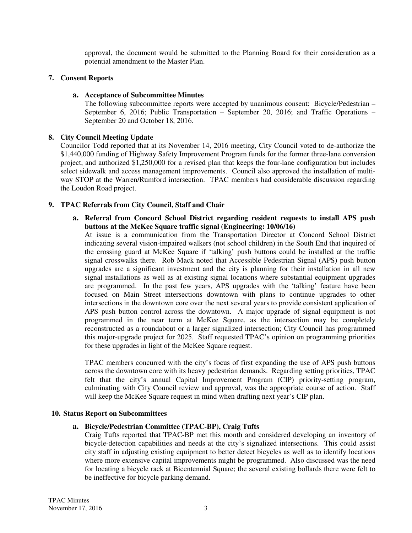approval, the document would be submitted to the Planning Board for their consideration as a potential amendment to the Master Plan.

# **7. Consent Reports**

# **a. Acceptance of Subcommittee Minutes**

The following subcommittee reports were accepted by unanimous consent: Bicycle/Pedestrian – September 6, 2016; Public Transportation – September 20, 2016; and Traffic Operations – September 20 and October 18, 2016.

# **8. City Council Meeting Update**

Councilor Todd reported that at its November 14, 2016 meeting, City Council voted to de-authorize the \$1,440,000 funding of Highway Safety Improvement Program funds for the former three-lane conversion project, and authorized \$1,250,000 for a revised plan that keeps the four-lane configuration but includes select sidewalk and access management improvements. Council also approved the installation of multiway STOP at the Warren/Rumford intersection. TPAC members had considerable discussion regarding the Loudon Road project.

# **9. TPAC Referrals from City Council, Staff and Chair**

**a. Referral from Concord School District regarding resident requests to install APS push buttons at the McKee Square traffic signal (Engineering: 10/06/16)** 

At issue is a communication from the Transportation Director at Concord School District indicating several vision-impaired walkers (not school children) in the South End that inquired of the crossing guard at McKee Square if 'talking' push buttons could be installed at the traffic signal crosswalks there. Rob Mack noted that Accessible Pedestrian Signal (APS) push button upgrades are a significant investment and the city is planning for their installation in all new signal installations as well as at existing signal locations where substantial equipment upgrades are programmed. In the past few years, APS upgrades with the 'talking' feature have been focused on Main Street intersections downtown with plans to continue upgrades to other intersections in the downtown core over the next several years to provide consistent application of APS push button control across the downtown. A major upgrade of signal equipment is not programmed in the near term at McKee Square, as the intersection may be completely reconstructed as a roundabout or a larger signalized intersection; City Council has programmed this major-upgrade project for 2025. Staff requested TPAC's opinion on programming priorities for these upgrades in light of the McKee Square request.

TPAC members concurred with the city's focus of first expanding the use of APS push buttons across the downtown core with its heavy pedestrian demands. Regarding setting priorities, TPAC felt that the city's annual Capital Improvement Program (CIP) priority-setting program, culminating with City Council review and approval, was the appropriate course of action. Staff will keep the McKee Square request in mind when drafting next year's CIP plan.

# **10. Status Report on Subcommittees**

# **a. Bicycle/Pedestrian Committee (TPAC-BP), Craig Tufts**

Craig Tufts reported that TPAC-BP met this month and considered developing an inventory of bicycle-detection capabilities and needs at the city's signalized intersections. This could assist city staff in adjusting existing equipment to better detect bicycles as well as to identify locations where more extensive capital improvements might be programmed. Also discussed was the need for locating a bicycle rack at Bicentennial Square; the several existing bollards there were felt to be ineffective for bicycle parking demand.